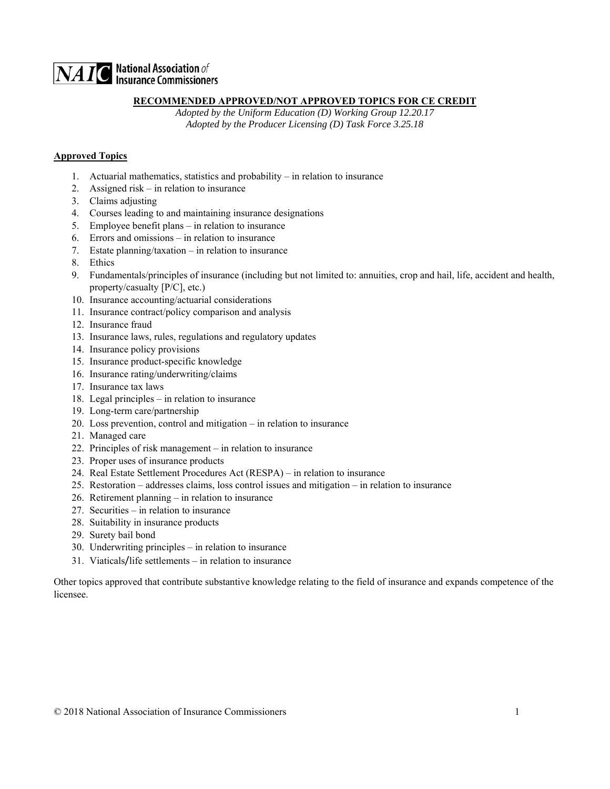# $\overline{\mathbf{NAIC}}$  National Association of

### **RECOMMENDED APPROVED/NOT APPROVED TOPICS FOR CE CREDIT**

 *Adopted by the Uniform Education (D) Working Group 12.20.17 Adopted by the Producer Licensing (D) Task Force 3.25.18* 

### **Approved Topics**

- 1. Actuarial mathematics, statistics and probability in relation to insurance
- 2. Assigned risk in relation to insurance
- 3. Claims adjusting
- 4. Courses leading to and maintaining insurance designations
- 5. Employee benefit plans in relation to insurance
- 6. Errors and omissions in relation to insurance
- 7. Estate planning/taxation in relation to insurance
- 8. Ethics
- 9. Fundamentals/principles of insurance (including but not limited to: annuities, crop and hail, life, accident and health, property/casualty [P/C], etc.)
- 10. Insurance accounting/actuarial considerations
- 11. Insurance contract/policy comparison and analysis
- 12. Insurance fraud
- 13. Insurance laws, rules, regulations and regulatory updates
- 14. Insurance policy provisions
- 15. Insurance product-specific knowledge
- 16. Insurance rating/underwriting/claims
- 17. Insurance tax laws
- 18. Legal principles in relation to insurance
- 19. Long-term care/partnership
- 20. Loss prevention, control and mitigation in relation to insurance
- 21. Managed care
- 22. Principles of risk management in relation to insurance
- 23. Proper uses of insurance products
- 24. Real Estate Settlement Procedures Act (RESPA) in relation to insurance
- 25. Restoration addresses claims, loss control issues and mitigation in relation to insurance
- 26. Retirement planning in relation to insurance
- 27. Securities in relation to insurance
- 28. Suitability in insurance products
- 29. Surety bail bond
- 30. Underwriting principles in relation to insurance
- 31. Viaticals/life settlements in relation to insurance

Other topics approved that contribute substantive knowledge relating to the field of insurance and expands competence of the licensee.